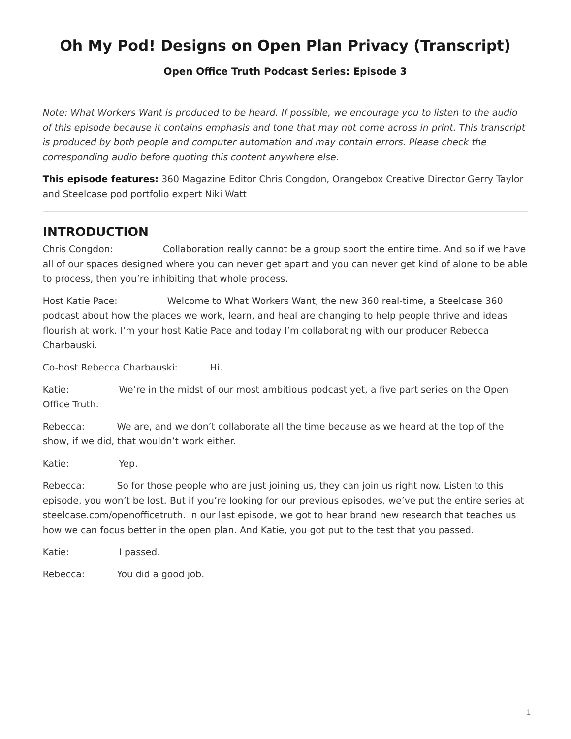# <span id="page-0-0"></span>**Oh My Pod! Designs on Open Plan Privacy (Transcript)**

#### **[Open Office Truth Podcast Series:](https://www.steelcase.com/research/openofficetruth) Episode 3**

*Note: What Workers Want is produced to be heard. If possible, we encourage you to listen to the audio of this episode because it contains emphasis and tone that may not come across in print. This transcript is produced by both people and computer automation and may contain errors. Please check the corresponding audio before quoting this content anywhere else.*

**This episode features:** 360 Magazine Editor Chris Congdon, Orangebox Creative Director Gerry Taylor and Steelcase pod portfolio expert Niki Watt

### **INTRODUCTION**

Chris Congdon: Collaboration really cannot be a group sport the entire time. And so if we have all of our spaces designed where you can never get apart and you can never get kind of alone to be able to process, then you're inhibiting that whole process.

Host Katie Pace: Welcome to What Workers Want, the new 360 real-time, a Steelcase 360 podcast about how the places we work, learn, and heal are changing to help people thrive and ideas flourish at work. I'm your host Katie Pace and today I'm collaborating with our producer Rebecca Charbauski.

Co-host Rebecca Charbauski: Hi.

Katie: We're in the midst of our most ambitious podcast yet, a five part series on the Open Office Truth.

Rebecca: We are, and we don't collaborate all the time because as we heard at the top of the show, if we did, that wouldn't work either.

Katie: Yep.

Rebecca: So for those people who are just joining us, they can join us right now. Listen to this episode, you won't be lost. But if you're looking for our previous episodes, we've put the entire series at steelcase.com/openofficetruth. In our last episode, we got to hear brand new research that teaches us how we can focus better in the open plan. And Katie, you got put to the test that you passed.

Katie: I passed.

Rebecca: You did a good job.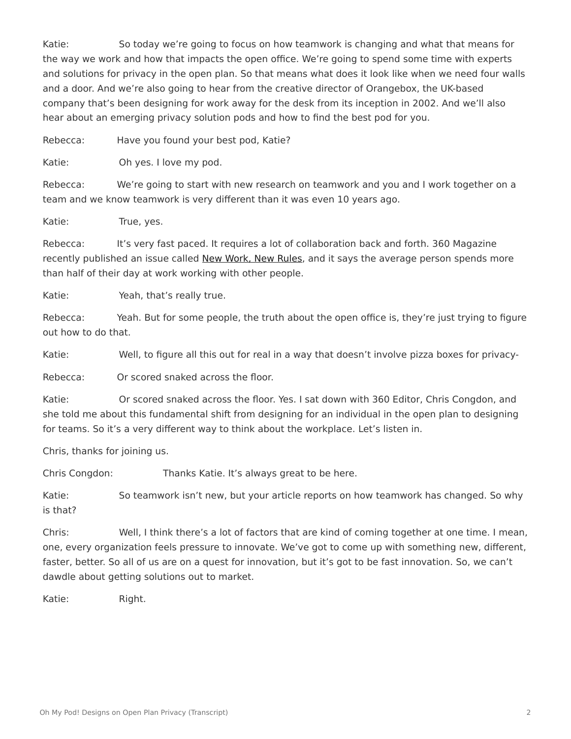Katie: So today we're going to focus on how teamwork is changing and what that means for the way we work and how that impacts the open office. We're going to spend some time with experts and solutions for privacy in the open plan. So that means what does it look like when we need four walls and a door. And we're also going to hear from the creative director of Orangebox, the UK-based company that's been designing for work away for the desk from its inception in 2002. And we'll also hear about an emerging privacy solution pods and how to find the best pod for you.

Rebecca: Have you found your best pod, Katie?

Katie: Oh yes. I love my pod.

Rebecca: We're going to start with new research on teamwork and you and I work together on a team and we know teamwork is very different than it was even 10 years ago.

Katie: True, yes.

Rebecca: It's very fast paced. It requires a lot of collaboration back and forth. 360 Magazine recently published an issue called [New Work, New Rules](https://www.steelcase.com/research/360-magazine/new-work-new-rules/), and it says the average person spends more than half of their day at work working with other people.

Katie: Yeah, that's really true.

Rebecca: Yeah. But for some people, the truth about the open office is, they're just trying to figure out how to do that.

Katie: Well, to figure all this out for real in a way that doesn't involve pizza boxes for privacy-

Rebecca: Or scored snaked across the floor.

Katie: Or scored snaked across the floor. Yes. I sat down with 360 Editor, Chris Congdon, and she told me about this fundamental shift from designing for an individual in the open plan to designing for teams. So it's a very different way to think about the workplace. Let's listen in.

Chris, thanks for joining us.

Chris Congdon: Thanks Katie. It's always great to be here.

Katie: So teamwork isn't new, but your article reports on how teamwork has changed. So why is that?

Chris: Well, I think there's a lot of factors that are kind of coming together at one time. I mean, one, every organization feels pressure to innovate. We've got to come up with something new, different, faster, better. So all of us are on a quest for innovation, but it's got to be fast innovation. So, we can't dawdle about getting solutions out to market.

Katie: Right.

Oh My Pod! Designs on Open Plan Privacy (Transcript) 2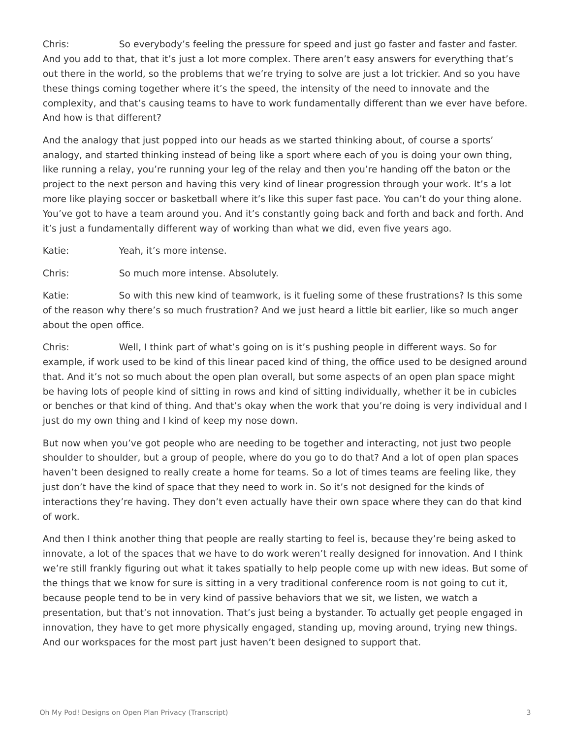Chris: So everybody's feeling the pressure for speed and just go faster and faster and faster. And you add to that, that it's just a lot more complex. There aren't easy answers for everything that's out there in the world, so the problems that we're trying to solve are just a lot trickier. And so you have these things coming together where it's the speed, the intensity of the need to innovate and the complexity, and that's causing teams to have to work fundamentally different than we ever have before. And how is that different?

And the analogy that just popped into our heads as we started thinking about, of course a sports' analogy, and started thinking instead of being like a sport where each of you is doing your own thing, like running a relay, you're running your leg of the relay and then you're handing off the baton or the project to the next person and having this very kind of linear progression through your work. It's a lot more like playing soccer or basketball where it's like this super fast pace. You can't do your thing alone. You've got to have a team around you. And it's constantly going back and forth and back and forth. And it's just a fundamentally different way of working than what we did, even five years ago.

Katie: Yeah, it's more intense.

Chris: So much more intense. Absolutely.

Katie: So with this new kind of teamwork, is it fueling some of these frustrations? Is this some of the reason why there's so much frustration? And we just heard a little bit earlier, like so much anger about the open office.

Chris: Well, I think part of what's going on is it's pushing people in different ways. So for example, if work used to be kind of this linear paced kind of thing, the office used to be designed around that. And it's not so much about the open plan overall, but some aspects of an open plan space might be having lots of people kind of sitting in rows and kind of sitting individually, whether it be in cubicles or benches or that kind of thing. And that's okay when the work that you're doing is very individual and I just do my own thing and I kind of keep my nose down.

But now when you've got people who are needing to be together and interacting, not just two people shoulder to shoulder, but a group of people, where do you go to do that? And a lot of open plan spaces haven't been designed to really create a home for teams. So a lot of times teams are feeling like, they just don't have the kind of space that they need to work in. So it's not designed for the kinds of interactions they're having. They don't even actually have their own space where they can do that kind of work.

And then I think another thing that people are really starting to feel is, because they're being asked to innovate, a lot of the spaces that we have to do work weren't really designed for innovation. And I think we're still frankly figuring out what it takes spatially to help people come up with new ideas. But some of the things that we know for sure is sitting in a very traditional conference room is not going to cut it, because people tend to be in very kind of passive behaviors that we sit, we listen, we watch a presentation, but that's not innovation. That's just being a bystander. To actually get people engaged in innovation, they have to get more physically engaged, standing up, moving around, trying new things. And our workspaces for the most part just haven't been designed to support that.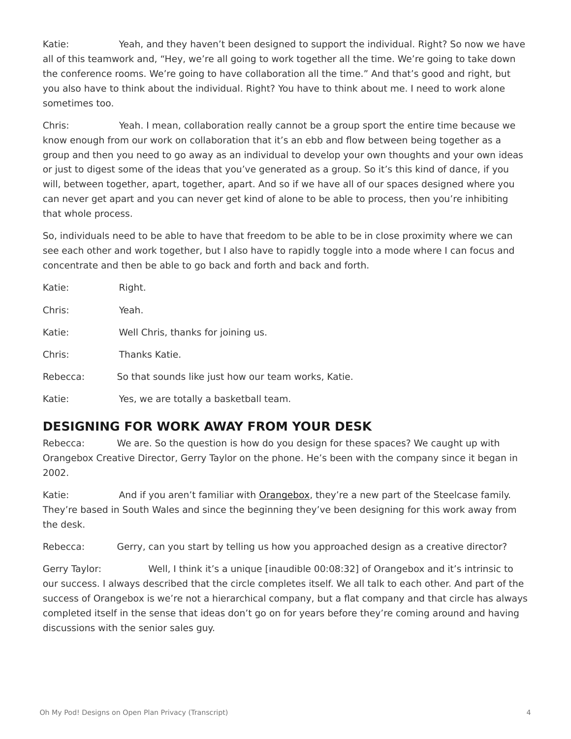Katie: Yeah, and they haven't been designed to support the individual. Right? So now we have all of this teamwork and, "Hey, we're all going to work together all the time. We're going to take down the conference rooms. We're going to have collaboration all the time." And that's good and right, but you also have to think about the individual. Right? You have to think about me. I need to work alone sometimes too.

Chris: Yeah. I mean, collaboration really cannot be a group sport the entire time because we know enough from our work on collaboration that it's an ebb and flow between being together as a group and then you need to go away as an individual to develop your own thoughts and your own ideas or just to digest some of the ideas that you've generated as a group. So it's this kind of dance, if you will, between together, apart, together, apart. And so if we have all of our spaces designed where you can never get apart and you can never get kind of alone to be able to process, then you're inhibiting that whole process.

So, individuals need to be able to have that freedom to be able to be in close proximity where we can see each other and work together, but I also have to rapidly toggle into a mode where I can focus and concentrate and then be able to go back and forth and back and forth.

| Katie:   | Right.                                              |
|----------|-----------------------------------------------------|
| Chris:   | Yeah.                                               |
| Katie:   | Well Chris, thanks for joining us.                  |
| Chris:   | Thanks Katie.                                       |
| Rebecca: | So that sounds like just how our team works, Katie. |
| Katie:   | Yes, we are totally a basketball team.              |

### **DESIGNING FOR WORK AWAY FROM YOUR DESK**

Rebecca: We are. So the question is how do you design for these spaces? We caught up with Orangebox Creative Director, Gerry Taylor on the phone. He's been with the company since it began in 2002.

Katie: And if you aren't familiar with [Orangebox](https://www.steelcase.com/brands/orangebox/), they're a new part of the Steelcase family. They're based in South Wales and since the beginning they've been designing for this work away from the desk.

Rebecca: Gerry, can you start by telling us how you approached design as a creative director?

Gerry Taylor: Well, I think it's a unique [inaudible 00:08:32] of Orangebox and it's intrinsic to our success. I always described that the circle completes itself. We all talk to each other. And part of the success of Orangebox is we're not a hierarchical company, but a flat company and that circle has always completed itself in the sense that ideas don't go on for years before they're coming around and having discussions with the senior sales guy.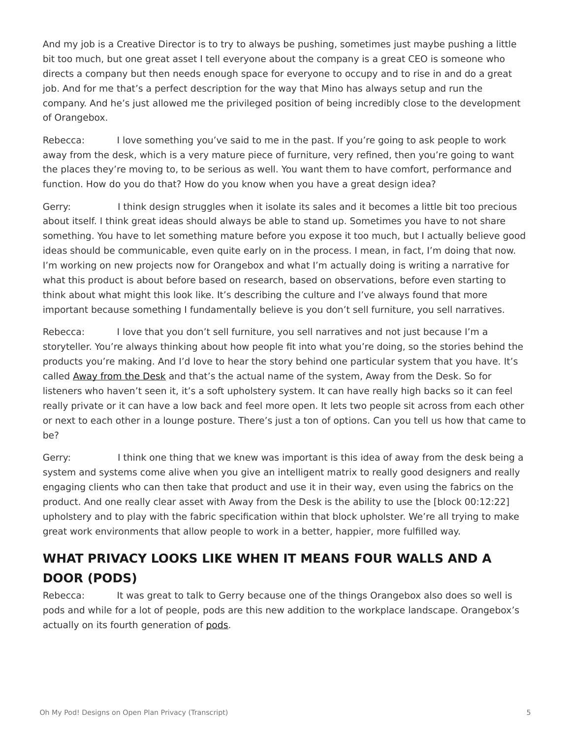And my job is a Creative Director is to try to always be pushing, sometimes just maybe pushing a little bit too much, but one great asset I tell everyone about the company is a great CEO is someone who directs a company but then needs enough space for everyone to occupy and to rise in and do a great job. And for me that's a perfect description for the way that Mino has always setup and run the company. And he's just allowed me the privileged position of being incredibly close to the development of Orangebox.

Rebecca: I love something you've said to me in the past. If you're going to ask people to work away from the desk, which is a very mature piece of furniture, very refined, then you're going to want the places they're moving to, to be serious as well. You want them to have comfort, performance and function. How do you do that? How do you know when you have a great design idea?

Gerry: I think design struggles when it isolate its sales and it becomes a little bit too precious about itself. I think great ideas should always be able to stand up. Sometimes you have to not share something. You have to let something mature before you expose it too much, but I actually believe good ideas should be communicable, even quite early on in the process. I mean, in fact, I'm doing that now. I'm working on new projects now for Orangebox and what I'm actually doing is writing a narrative for what this product is about before based on research, based on observations, before even starting to think about what might this look like. It's describing the culture and I've always found that more important because something I fundamentally believe is you don't sell furniture, you sell narratives.

Rebecca: I love that you don't sell furniture, you sell narratives and not just because I'm a storyteller. You're always thinking about how people fit into what you're doing, so the stories behind the products you're making. And I'd love to hear the story behind one particular system that you have. It's called [Away from the Desk](https://www.steelcase.com/products/lounge-seating/away-from-the-desk/) and that's the actual name of the system, Away from the Desk. So for listeners who haven't seen it, it's a soft upholstery system. It can have really high backs so it can feel really private or it can have a low back and feel more open. It lets two people sit across from each other or next to each other in a lounge posture. There's just a ton of options. Can you tell us how that came to be?

Gerry: I think one thing that we knew was important is this idea of away from the desk being a system and systems come alive when you give an intelligent matrix to really good designers and really engaging clients who can then take that product and use it in their way, even using the fabrics on the product. And one really clear asset with Away from the Desk is the ability to use the [block 00:12:22] upholstery and to play with the fabric specification within that block upholster. We're all trying to make great work environments that allow people to work in a better, happier, more fulfilled way.

## **WHAT PRIVACY LOOKS LIKE WHEN IT MEANS FOUR WALLS AND A DOOR (PODS)**

Rebecca: It was great to talk to Gerry because one of the things Orangebox also does so well is pods and while for a lot of people, pods are this new addition to the workplace landscape. Orangebox's actually on its fourth generation of [pods.](https://www.steelcase.com/products/pods/air3/)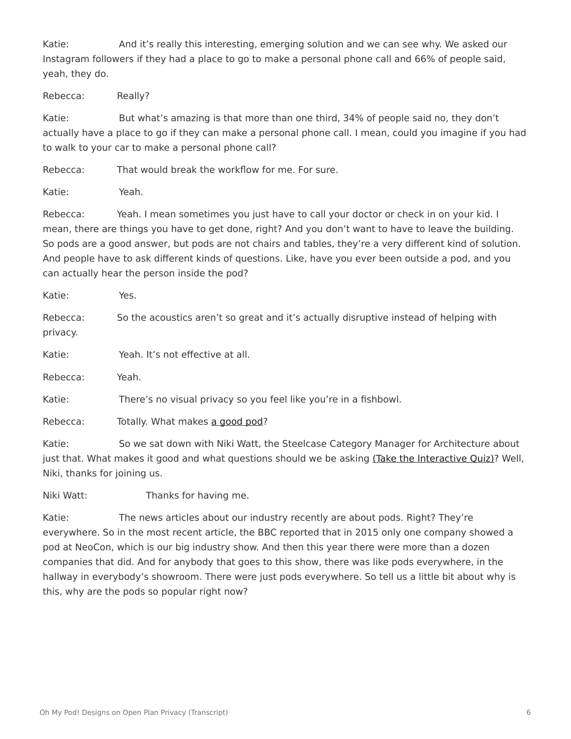Katie: And it's really this interesting, emerging solution and we can see why. We asked our Instagram followers if they had a place to go to make a personal phone call and 66% of people said, yeah, they do.

Rebecca: Really?

Katie: But what's amazing is that more than one third, 34% of people said no, they don't actually have a place to go if they can make a personal phone call. I mean, could you imagine if you had to walk to your car to make a personal phone call?

Rebecca: That would break the workflow for me. For sure.

Katie: Yeah.

Rebecca: Yeah. I mean sometimes you just have to call your doctor or check in on your kid. I mean, there are things you have to get done, right? And you don't want to have to leave the building. So pods are a good answer, but pods are not chairs and tables, they're a very different kind of solution. And people have to ask different kinds of questions. Like, have you ever been outside a pod, and you can actually hear the person inside the pod?

| Katie:               | Yes.                                                                                                                                                                                            |
|----------------------|-------------------------------------------------------------------------------------------------------------------------------------------------------------------------------------------------|
| Rebecca:<br>privacy. | So the acoustics aren't so great and it's actually disruptive instead of helping with                                                                                                           |
| Katie:               | Yeah. It's not effective at all.                                                                                                                                                                |
| Rebecca:             | Yeah.                                                                                                                                                                                           |
| Katie:               | There's no visual privacy so you feel like you're in a fishbowl.                                                                                                                                |
| Rebecca:             | Totally. What makes a good pod?                                                                                                                                                                 |
| Katie:               | So we sat down with Niki Watt, the Steelcase Category Manager for Architecture about<br>just that. What makes it good and what questions should we be asking (Take the Interactive Quiz)? Well, |

Niki, thanks for joining us.

Niki Watt: Thanks for having me.

Katie: The news articles about our industry recently are about pods. Right? They're everywhere. So in the most recent article, the BBC reported that in 2015 only one company showed a pod at NeoCon, which is our big industry show. And then this year there were more than a dozen companies that did. And for anybody that goes to this show, there was like pods everywhere, in the hallway in everybody's showroom. There were just pods everywhere. So tell us a little bit about why is this, why are the pods so popular right now?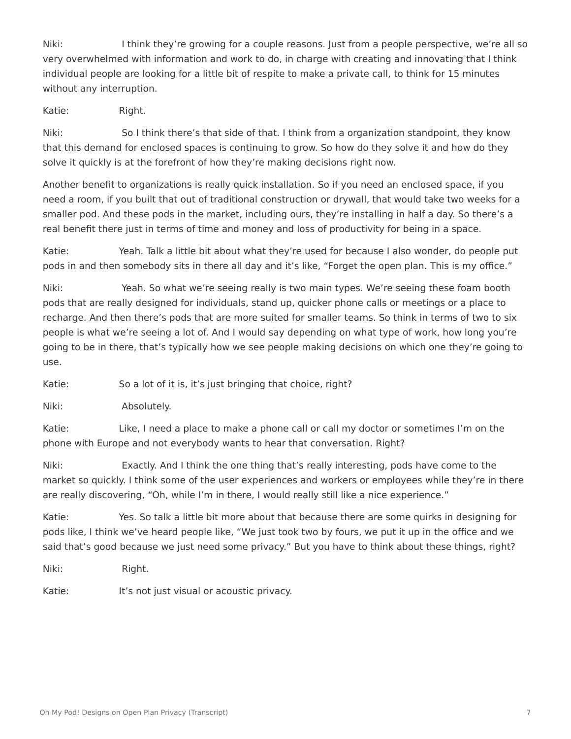Niki: I think they're growing for a couple reasons. Just from a people perspective, we're all so very overwhelmed with information and work to do, in charge with creating and innovating that I think individual people are looking for a little bit of respite to make a private call, to think for 15 minutes without any interruption.

Katie: Right.

Niki: So I think there's that side of that. I think from a organization standpoint, they know that this demand for enclosed spaces is continuing to grow. So how do they solve it and how do they solve it quickly is at the forefront of how they're making decisions right now.

Another benefit to organizations is really quick installation. So if you need an enclosed space, if you need a room, if you built that out of traditional construction or drywall, that would take two weeks for a smaller pod. And these pods in the market, including ours, they're installing in half a day. So there's a real benefit there just in terms of time and money and loss of productivity for being in a space.

Katie: Yeah. Talk a little bit about what they're used for because I also wonder, do people put pods in and then somebody sits in there all day and it's like, "Forget the open plan. This is my office."

Niki: Yeah. So what we're seeing really is two main types. We're seeing these foam booth pods that are really designed for individuals, stand up, quicker phone calls or meetings or a place to recharge. And then there's pods that are more suited for smaller teams. So think in terms of two to six people is what we're seeing a lot of. And I would say depending on what type of work, how long you're going to be in there, that's typically how we see people making decisions on which one they're going to use.

Katie: So a lot of it is, it's just bringing that choice, right?

Niki: Absolutely.

Katie: Like, I need a place to make a phone call or call my doctor or sometimes I'm on the phone with Europe and not everybody wants to hear that conversation. Right?

Niki: Exactly. And I think the one thing that's really interesting, pods have come to the market so quickly. I think some of the user experiences and workers or employees while they're in there are really discovering, "Oh, while I'm in there, I would really still like a nice experience."

Katie: Yes. So talk a little bit more about that because there are some quirks in designing for pods like, I think we've heard people like, "We just took two by fours, we put it up in the office and we said that's good because we just need some privacy." But you have to think about these things, right?

Niki: Right.

Katie: It's not just visual or acoustic privacy.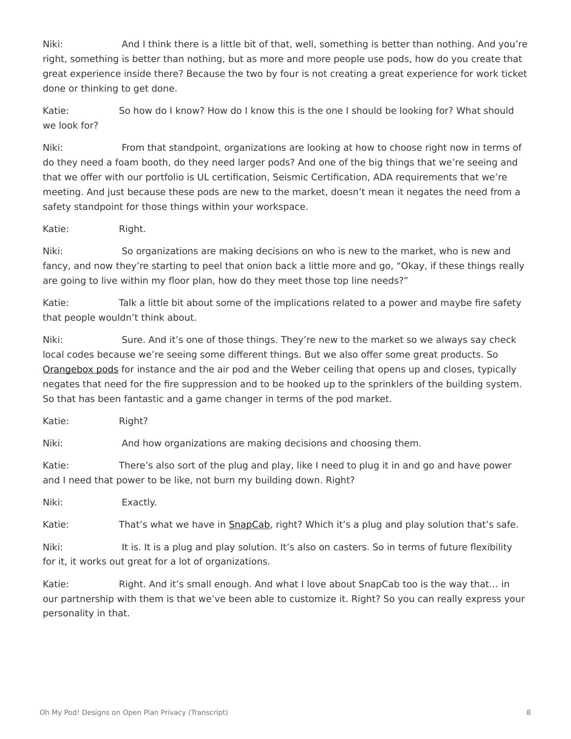Niki: And I think there is a little bit of that, well, something is better than nothing. And you're right, something is better than nothing, but as more and more people use pods, how do you create that great experience inside there? Because the two by four is not creating a great experience for work ticket done or thinking to get done.

Katie: So how do I know? How do I know this is the one I should be looking for? What should we look for?

Niki: From that standpoint, organizations are looking at how to choose right now in terms of do they need a foam booth, do they need larger pods? And one of the big things that we're seeing and that we offer with our portfolio is UL certification, Seismic Certification, ADA requirements that we're meeting. And just because these pods are new to the market, doesn't mean it negates the need from a safety standpoint for those things within your workspace.

Katie: Right.

Niki: So organizations are making decisions on who is new to the market, who is new and fancy, and now they're starting to peel that onion back a little more and go, "Okay, if these things really are going to live within my floor plan, how do they meet those top line needs?"

Katie: Talk a little bit about some of the implications related to a power and maybe fire safety that people wouldn't think about.

Niki: Sure. And it's one of those things. They're new to the market so we always say check local codes because we're seeing some different things. But we also offer some great products. So [Orangebox pods](https://www.steelcase.com/products/pods/air3/) for instance and the air pod and the Weber ceiling that opens up and closes, typically negates that need for the fire suppression and to be hooked up to the sprinklers of the building system. So that has been fantastic and a game changer in terms of the pod market.

Katie: Right?

Niki: And how organizations are making decisions and choosing them.

Katie: There's also sort of the plug and play, like I need to plug it in and go and have power and I need that power to be like, not burn my building down. Right?

Niki: Exactly.

Katie: That's what we have in **SnapCab**, right? Which it's a plug and play solution that's safe.

Niki: It is. It is a plug and play solution. It's also on casters. So in terms of future flexibility for it, it works out great for a lot of organizations.

Katie: Right. And it's small enough. And what I love about SnapCab too is the way that... in our partnership with them is that we've been able to customize it. Right? So you can really express your personality in that.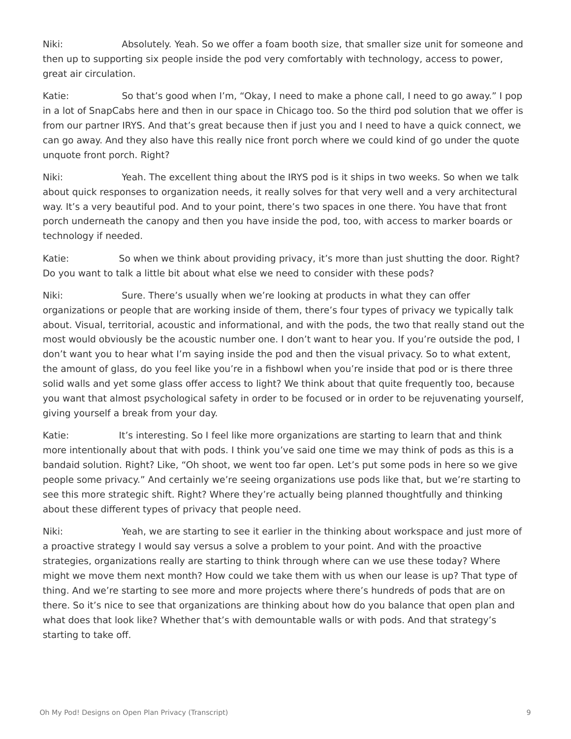Niki: Absolutely. Yeah. So we offer a foam booth size, that smaller size unit for someone and then up to supporting six people inside the pod very comfortably with technology, access to power, great air circulation.

Katie: So that's good when I'm, "Okay, I need to make a phone call, I need to go away." I pop in a lot of SnapCabs here and then in our space in Chicago too. So the third pod solution that we offer is from our partner IRYS. And that's great because then if just you and I need to have a quick connect, we can go away. And they also have this really nice front porch where we could kind of go under the quote unquote front porch. Right?

Niki: Yeah. The excellent thing about the IRYS pod is it ships in two weeks. So when we talk about quick responses to organization needs, it really solves for that very well and a very architectural way. It's a very beautiful pod. And to your point, there's two spaces in one there. You have that front porch underneath the canopy and then you have inside the pod, too, with access to marker boards or technology if needed.

Katie: So when we think about providing privacy, it's more than just shutting the door. Right? Do you want to talk a little bit about what else we need to consider with these pods?

Niki: Sure. There's usually when we're looking at products in what they can offer organizations or people that are working inside of them, there's four types of privacy we typically talk about. Visual, territorial, acoustic and informational, and with the pods, the two that really stand out the most would obviously be the acoustic number one. I don't want to hear you. If you're outside the pod, I don't want you to hear what I'm saying inside the pod and then the visual privacy. So to what extent, the amount of glass, do you feel like you're in a fishbowl when you're inside that pod or is there three solid walls and yet some glass offer access to light? We think about that quite frequently too, because you want that almost psychological safety in order to be focused or in order to be rejuvenating yourself, giving yourself a break from your day.

Katie: It's interesting. So I feel like more organizations are starting to learn that and think more intentionally about that with pods. I think you've said one time we may think of pods as this is a bandaid solution. Right? Like, "Oh shoot, we went too far open. Let's put some pods in here so we give people some privacy." And certainly we're seeing organizations use pods like that, but we're starting to see this more strategic shift. Right? Where they're actually being planned thoughtfully and thinking about these different types of privacy that people need.

Niki: Yeah, we are starting to see it earlier in the thinking about workspace and just more of a proactive strategy I would say versus a solve a problem to your point. And with the proactive strategies, organizations really are starting to think through where can we use these today? Where might we move them next month? How could we take them with us when our lease is up? That type of thing. And we're starting to see more and more projects where there's hundreds of pods that are on there. So it's nice to see that organizations are thinking about how do you balance that open plan and what does that look like? Whether that's with demountable walls or with pods. And that strategy's starting to take off.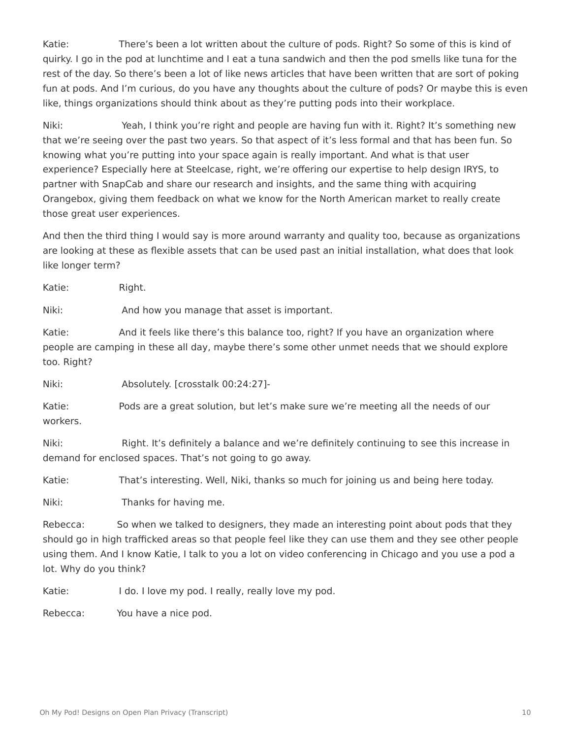Katie: There's been a lot written about the culture of pods. Right? So some of this is kind of quirky. I go in the pod at lunchtime and I eat a tuna sandwich and then the pod smells like tuna for the rest of the day. So there's been a lot of like news articles that have been written that are sort of poking fun at pods. And I'm curious, do you have any thoughts about the culture of pods? Or maybe this is even like, things organizations should think about as they're putting pods into their workplace.

Niki: Yeah, I think you're right and people are having fun with it. Right? It's something new that we're seeing over the past two years. So that aspect of it's less formal and that has been fun. So knowing what you're putting into your space again is really important. And what is that user experience? Especially here at Steelcase, right, we're offering our expertise to help design IRYS, to partner with SnapCab and share our research and insights, and the same thing with acquiring Orangebox, giving them feedback on what we know for the North American market to really create those great user experiences.

And then the third thing I would say is more around warranty and quality too, because as organizations are looking at these as flexible assets that can be used past an initial installation, what does that look like longer term?

Katie: Right.

Niki: And how you manage that asset is important.

Katie: And it feels like there's this balance too, right? If you have an organization where people are camping in these all day, maybe there's some other unmet needs that we should explore too. Right?

Niki: Absolutely. [crosstalk 00:24:27]-

Katie: Pods are a great solution, but let's make sure we're meeting all the needs of our workers.

Niki: Right. It's definitely a balance and we're definitely continuing to see this increase in demand for enclosed spaces. That's not going to go away.

Katie: That's interesting. Well, Niki, thanks so much for joining us and being here today.

Niki: Thanks for having me.

Rebecca: So when we talked to designers, they made an interesting point about pods that they should go in high trafficked areas so that people feel like they can use them and they see other people using them. And I know Katie, I talk to you a lot on video conferencing in Chicago and you use a pod a lot. Why do you think?

Katie: I do. I love my pod. I really, really love my pod.

Rebecca: You have a nice pod.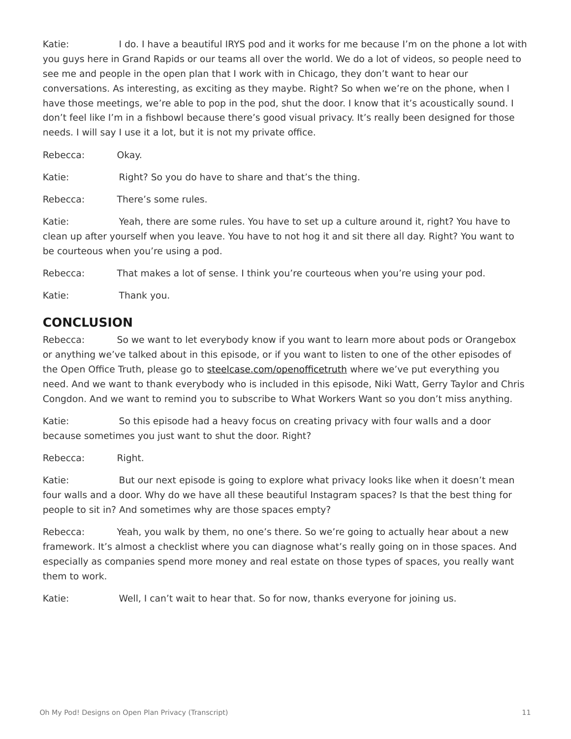Katie: I do. I have a beautiful IRYS pod and it works for me because I'm on the phone a lot with you guys here in Grand Rapids or our teams all over the world. We do a lot of videos, so people need to see me and people in the open plan that I work with in Chicago, they don't want to hear our conversations. As interesting, as exciting as they maybe. Right? So when we're on the phone, when I have those meetings, we're able to pop in the pod, shut the door. I know that it's acoustically sound. I don't feel like I'm in a fishbowl because there's good visual privacy. It's really been designed for those needs. I will say I use it a lot, but it is not my private office.

Rebecca: Okay.

Katie: Right? So you do have to share and that's the thing.

Rebecca: There's some rules.

Katie: Yeah, there are some rules. You have to set up a culture around it, right? You have to clean up after yourself when you leave. You have to not hog it and sit there all day. Right? You want to be courteous when you're using a pod.

Rebecca: That makes a lot of sense. I think you're courteous when you're using your pod.

Katie: Thank you.

### **CONCLUSION**

Rebecca: So we want to let everybody know if you want to learn more about pods or Orangebox or anything we've talked about in this episode, or if you want to listen to one of the other episodes of the Open Office Truth, please go to [steelcase.com/openofficetruth](http://www.steelcase.com/openofficetruth) where we've put everything you need. And we want to thank everybody who is included in this episode, Niki Watt, Gerry Taylor and Chris Congdon. And we want to remind you to subscribe to What Workers Want so you don't miss anything.

Katie: So this episode had a heavy focus on creating privacy with four walls and a door because sometimes you just want to shut the door. Right?

Rebecca: Right.

Katie: But our next episode is going to explore what privacy looks like when it doesn't mean four walls and a door. Why do we have all these beautiful Instagram spaces? Is that the best thing for people to sit in? And sometimes why are those spaces empty?

Rebecca: Yeah, you walk by them, no one's there. So we're going to actually hear about a new framework. It's almost a checklist where you can diagnose what's really going on in those spaces. And especially as companies spend more money and real estate on those types of spaces, you really want them to work.

Katie: Well, I can't wait to hear that. So for now, thanks everyone for joining us.